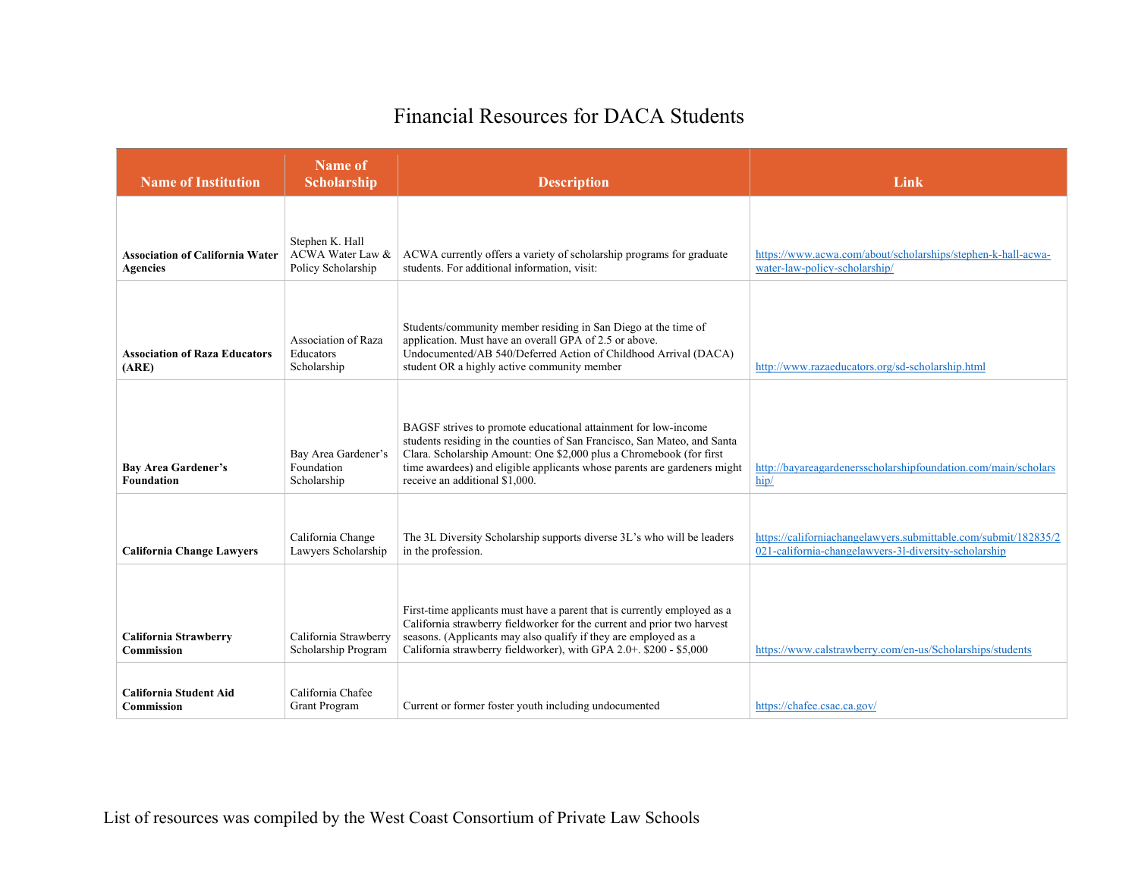## Financial Resources for DACA Students

| <b>Name of Institution</b>                                | Name of<br>Scholarship                                    | <b>Description</b>                                                                                                                                                                                                                                                                                                              | Link                                                                                                                     |
|-----------------------------------------------------------|-----------------------------------------------------------|---------------------------------------------------------------------------------------------------------------------------------------------------------------------------------------------------------------------------------------------------------------------------------------------------------------------------------|--------------------------------------------------------------------------------------------------------------------------|
| <b>Association of California Water</b><br><b>Agencies</b> | Stephen K. Hall<br>ACWA Water Law &<br>Policy Scholarship | ACWA currently offers a variety of scholarship programs for graduate<br>students. For additional information, visit:                                                                                                                                                                                                            | https://www.acwa.com/about/scholarships/stephen-k-hall-acwa-<br>water-law-policy-scholarship/                            |
| <b>Association of Raza Educators</b><br>(ARE)             | Association of Raza<br>Educators<br>Scholarship           | Students/community member residing in San Diego at the time of<br>application. Must have an overall GPA of 2.5 or above.<br>Undocumented/AB 540/Deferred Action of Childhood Arrival (DACA)<br>student OR a highly active community member                                                                                      | http://www.razaeducators.org/sd-scholarship.html                                                                         |
| <b>Bay Area Gardener's</b><br><b>Foundation</b>           | Bay Area Gardener's<br>Foundation<br>Scholarship          | BAGSF strives to promote educational attainment for low-income<br>students residing in the counties of San Francisco, San Mateo, and Santa<br>Clara. Scholarship Amount: One \$2,000 plus a Chromebook (for first<br>time awardees) and eligible applicants whose parents are gardeners might<br>receive an additional \$1,000. | http://bayareagardenersscholarshipfoundation.com/main/scholars<br>hip/                                                   |
| <b>California Change Lawyers</b>                          | California Change<br>Lawyers Scholarship                  | The 3L Diversity Scholarship supports diverse 3L's who will be leaders<br>in the profession.                                                                                                                                                                                                                                    | https://californiachangelawyers.submittable.com/submit/182835/2<br>021-california-changelawyers-31-diversity-scholarship |
| <b>California Strawberry</b><br>Commission                | California Strawberry<br>Scholarship Program              | First-time applicants must have a parent that is currently employed as a<br>California strawberry fieldworker for the current and prior two harvest<br>seasons. (Applicants may also qualify if they are employed as a<br>California strawberry fieldworker), with GPA 2.0+. \$200 - \$5,000                                    | https://www.calstrawberry.com/en-us/Scholarships/students                                                                |
| <b>California Student Aid</b><br><b>Commission</b>        | California Chafee<br><b>Grant Program</b>                 | Current or former foster youth including undocumented                                                                                                                                                                                                                                                                           | https://chafee.csac.ca.gov/                                                                                              |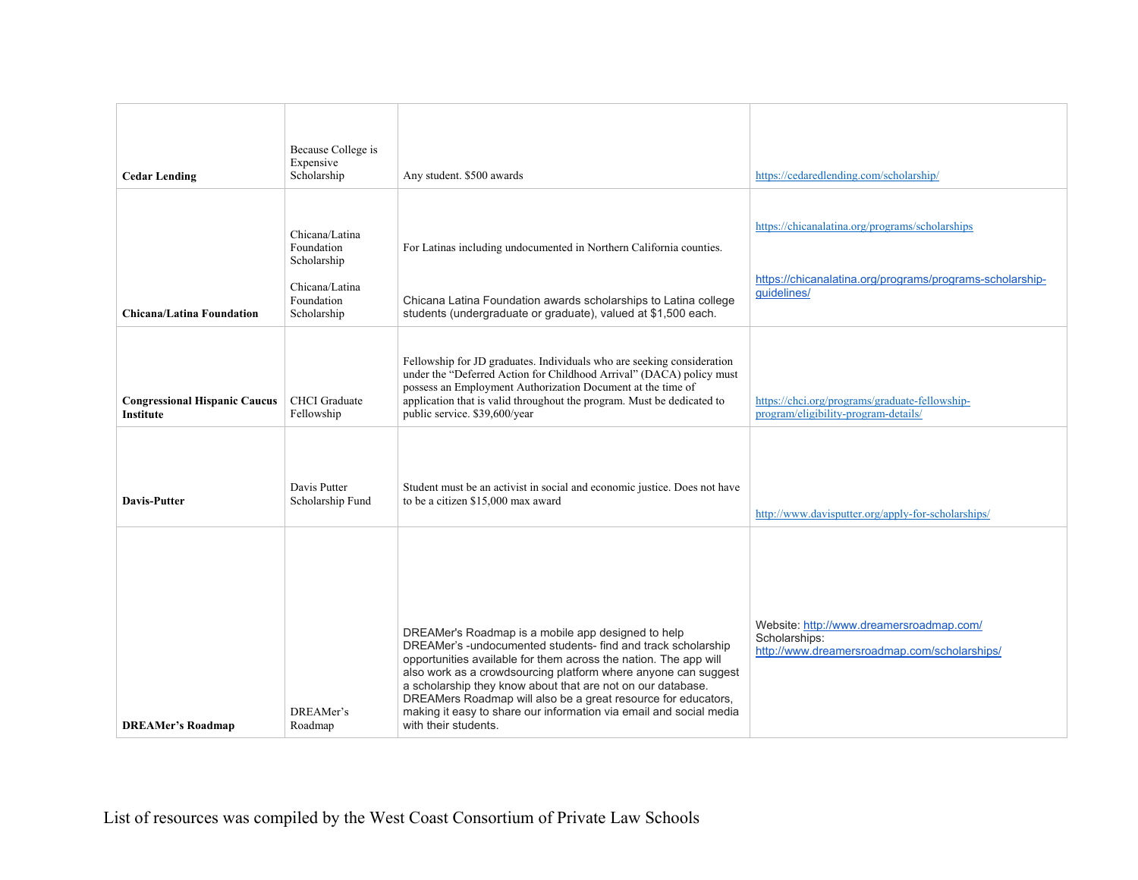| <b>Cedar Lending</b>                              | Because College is<br>Expensive<br>Scholarship                                             | Any student. \$500 awards                                                                                                                                                                                                                                                                                                                                                                                                                                                              | https://cedaredlending.com/scholarship/                                                                                    |
|---------------------------------------------------|--------------------------------------------------------------------------------------------|----------------------------------------------------------------------------------------------------------------------------------------------------------------------------------------------------------------------------------------------------------------------------------------------------------------------------------------------------------------------------------------------------------------------------------------------------------------------------------------|----------------------------------------------------------------------------------------------------------------------------|
| <b>Chicana/Latina Foundation</b>                  | Chicana/Latina<br>Foundation<br>Scholarship<br>Chicana/Latina<br>Foundation<br>Scholarship | For Latinas including undocumented in Northern California counties.<br>Chicana Latina Foundation awards scholarships to Latina college<br>students (undergraduate or graduate), valued at \$1,500 each.                                                                                                                                                                                                                                                                                | https://chicanalatina.org/programs/scholarships<br>https://chicanalatina.org/programs/programs-scholarship-<br>guidelines/ |
| <b>Congressional Hispanic Caucus</b><br>Institute | <b>CHCI</b> Graduate<br>Fellowship                                                         | Fellowship for JD graduates. Individuals who are seeking consideration<br>under the "Deferred Action for Childhood Arrival" (DACA) policy must<br>possess an Employment Authorization Document at the time of<br>application that is valid throughout the program. Must be dedicated to<br>public service. \$39,600/year                                                                                                                                                               | https://chci.org/programs/graduate-fellowship-<br>program/eligibility-program-details/                                     |
| <b>Davis-Putter</b>                               | Davis Putter<br>Scholarship Fund                                                           | Student must be an activist in social and economic justice. Does not have<br>to be a citizen \$15,000 max award                                                                                                                                                                                                                                                                                                                                                                        | http://www.davisputter.org/apply-for-scholarships/                                                                         |
| <b>DREAMer's Roadmap</b>                          | DREAMer's<br>Roadmap                                                                       | DREAMer's Roadmap is a mobile app designed to help<br>DREAMer's -undocumented students- find and track scholarship<br>opportunities available for them across the nation. The app will<br>also work as a crowdsourcing platform where anyone can suggest<br>a scholarship they know about that are not on our database.<br>DREAMers Roadmap will also be a great resource for educators,<br>making it easy to share our information via email and social media<br>with their students. | Website: http://www.dreamersroadmap.com/<br>Scholarships:<br>http://www.dreamersroadmap.com/scholarships/                  |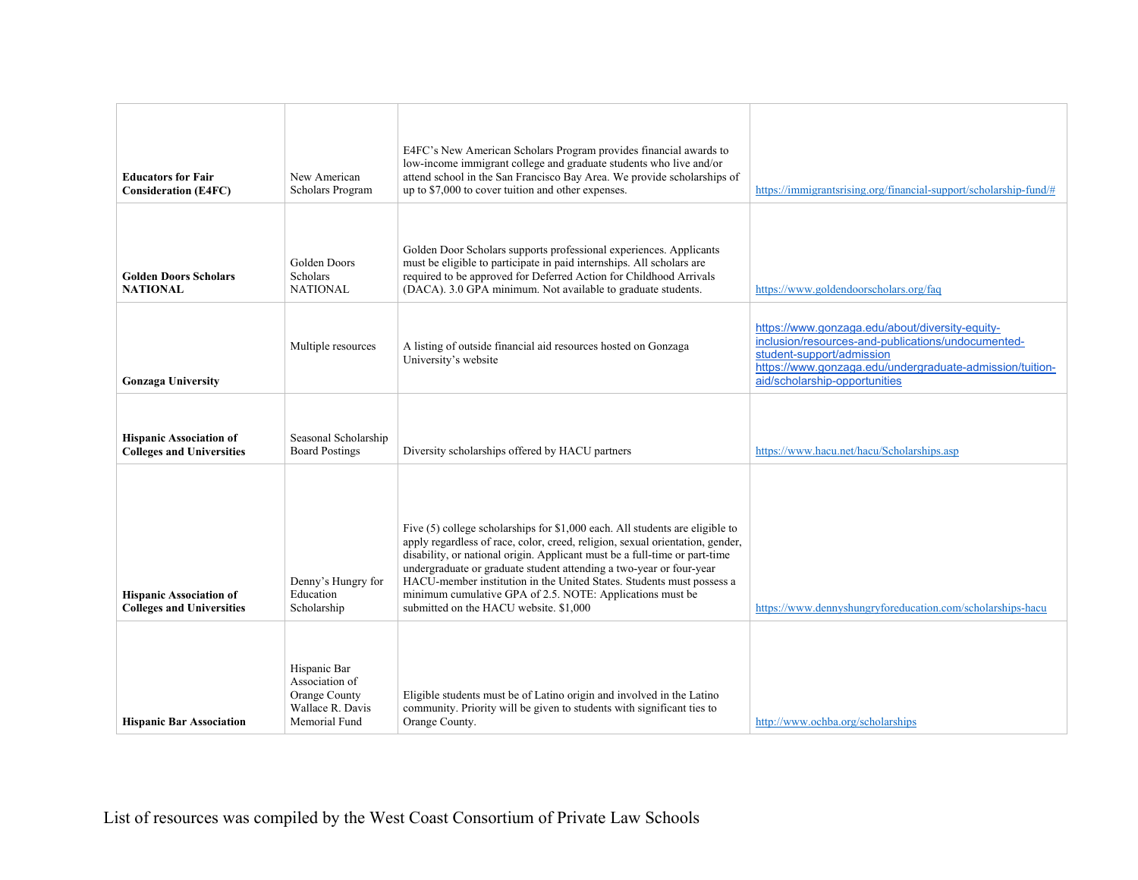| <b>Educators for Fair</b>                                          | New American                                                                         | E4FC's New American Scholars Program provides financial awards to<br>low-income immigrant college and graduate students who live and/or<br>attend school in the San Francisco Bay Area. We provide scholarships of                                                                                                                                                                                                                                                                                 |                                                                                                                                                                                                                                 |
|--------------------------------------------------------------------|--------------------------------------------------------------------------------------|----------------------------------------------------------------------------------------------------------------------------------------------------------------------------------------------------------------------------------------------------------------------------------------------------------------------------------------------------------------------------------------------------------------------------------------------------------------------------------------------------|---------------------------------------------------------------------------------------------------------------------------------------------------------------------------------------------------------------------------------|
| <b>Consideration (E4FC)</b>                                        | Scholars Program                                                                     | up to \$7,000 to cover tuition and other expenses.                                                                                                                                                                                                                                                                                                                                                                                                                                                 | https://immigrantsrising.org/financial-support/scholarship-fund/#                                                                                                                                                               |
| <b>Golden Doors Scholars</b><br><b>NATIONAL</b>                    | Golden Doors<br>Scholars<br><b>NATIONAL</b>                                          | Golden Door Scholars supports professional experiences. Applicants<br>must be eligible to participate in paid internships. All scholars are<br>required to be approved for Deferred Action for Childhood Arrivals<br>(DACA). 3.0 GPA minimum. Not available to graduate students.                                                                                                                                                                                                                  | https://www.goldendoorscholars.org/faq                                                                                                                                                                                          |
| <b>Gonzaga University</b>                                          | Multiple resources                                                                   | A listing of outside financial aid resources hosted on Gonzaga<br>University's website                                                                                                                                                                                                                                                                                                                                                                                                             | https://www.gonzaga.edu/about/diversity-equity-<br>inclusion/resources-and-publications/undocumented-<br>student-support/admission<br>https://www.gonzaga.edu/undergraduate-admission/tuition-<br>aid/scholarship-opportunities |
| <b>Hispanic Association of</b><br><b>Colleges and Universities</b> | Seasonal Scholarship<br><b>Board Postings</b>                                        | Diversity scholarships offered by HACU partners                                                                                                                                                                                                                                                                                                                                                                                                                                                    | https://www.hacu.net/hacu/Scholarships.asp                                                                                                                                                                                      |
| <b>Hispanic Association of</b><br><b>Colleges and Universities</b> | Denny's Hungry for<br>Education<br>Scholarship                                       | Five (5) college scholarships for \$1,000 each. All students are eligible to<br>apply regardless of race, color, creed, religion, sexual orientation, gender,<br>disability, or national origin. Applicant must be a full-time or part-time<br>undergraduate or graduate student attending a two-year or four-year<br>HACU-member institution in the United States. Students must possess a<br>minimum cumulative GPA of 2.5. NOTE: Applications must be<br>submitted on the HACU website. \$1,000 | https://www.dennyshungryforeducation.com/scholarships-hacu                                                                                                                                                                      |
| <b>Hispanic Bar Association</b>                                    | Hispanic Bar<br>Association of<br>Orange County<br>Wallace R. Davis<br>Memorial Fund | Eligible students must be of Latino origin and involved in the Latino<br>community. Priority will be given to students with significant ties to<br>Orange County.                                                                                                                                                                                                                                                                                                                                  | http://www.ochba.org/scholarships                                                                                                                                                                                               |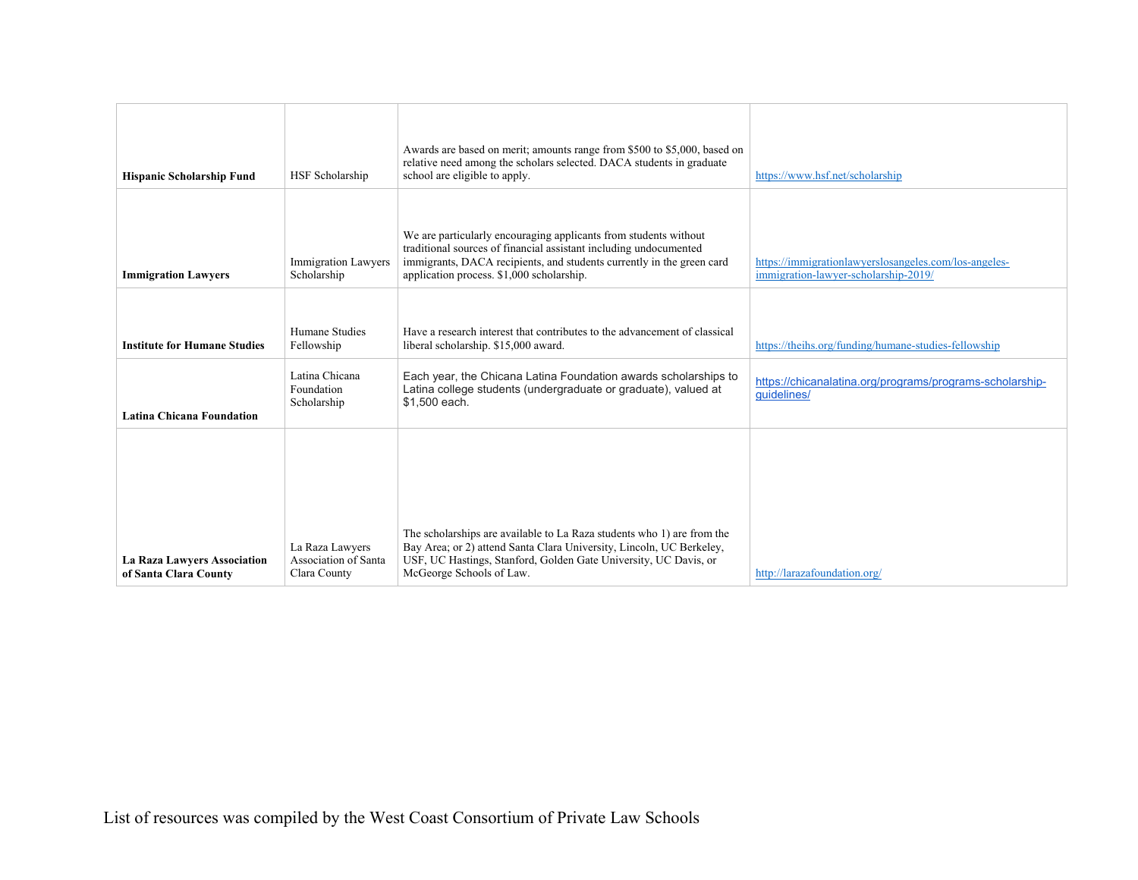| <b>Hispanic Scholarship Fund</b>                            | HSF Scholarship                                         | Awards are based on merit; amounts range from \$500 to \$5,000, based on<br>relative need among the scholars selected. DACA students in graduate<br>school are eligible to apply.                                                                           | https://www.hsf.net/scholarship                                                               |
|-------------------------------------------------------------|---------------------------------------------------------|-------------------------------------------------------------------------------------------------------------------------------------------------------------------------------------------------------------------------------------------------------------|-----------------------------------------------------------------------------------------------|
| <b>Immigration Lawyers</b>                                  | <b>Immigration Lawyers</b><br>Scholarship               | We are particularly encouraging applicants from students without<br>traditional sources of financial assistant including undocumented<br>immigrants, DACA recipients, and students currently in the green card<br>application process. \$1,000 scholarship. | https://immigrationlawyerslosangeles.com/los-angeles-<br>immigration-lawyer-scholarship-2019/ |
| <b>Institute for Humane Studies</b>                         | Humane Studies<br>Fellowship                            | Have a research interest that contributes to the advancement of classical<br>liberal scholarship. \$15,000 award.                                                                                                                                           | https://theihs.org/funding/humane-studies-fellowship                                          |
| <b>Latina Chicana Foundation</b>                            | Latina Chicana<br>Foundation<br>Scholarship             | Each year, the Chicana Latina Foundation awards scholarships to<br>Latina college students (undergraduate or graduate), valued at<br>\$1,500 each.                                                                                                          | https://chicanalatina.org/programs/programs-scholarship-<br>guidelines/                       |
|                                                             |                                                         |                                                                                                                                                                                                                                                             |                                                                                               |
| <b>La Raza Lawyers Association</b><br>of Santa Clara County | La Raza Lawyers<br>Association of Santa<br>Clara County | The scholarships are available to La Raza students who 1) are from the<br>Bay Area; or 2) attend Santa Clara University, Lincoln, UC Berkeley,<br>USF, UC Hastings, Stanford, Golden Gate University, UC Davis, or<br>McGeorge Schools of Law.              | http://larazafoundation.org/                                                                  |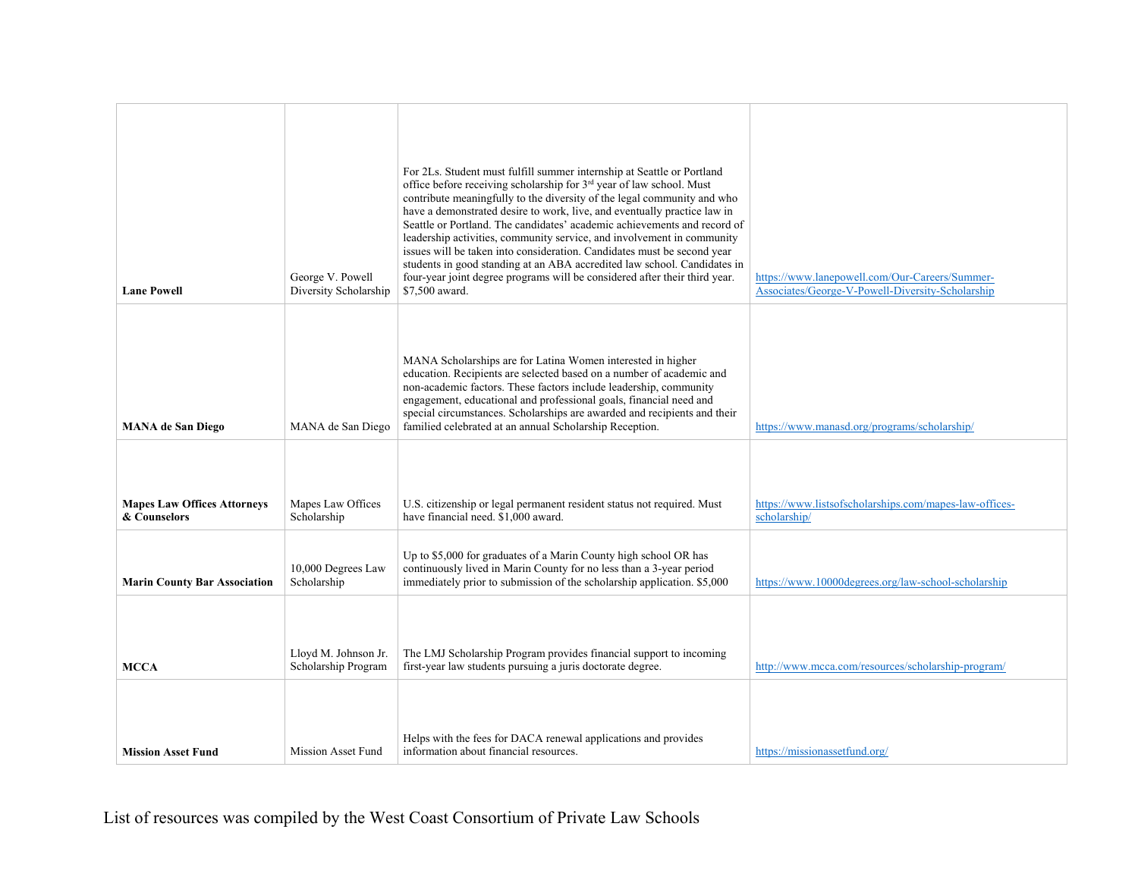| <b>Lane Powell</b>                                 | George V. Powell<br>Diversity Scholarship   | For 2Ls. Student must fulfill summer internship at Seattle or Portland<br>office before receiving scholarship for 3 <sup>rd</sup> year of law school. Must<br>contribute meaningfully to the diversity of the legal community and who<br>have a demonstrated desire to work, live, and eventually practice law in<br>Seattle or Portland. The candidates' academic achievements and record of<br>leadership activities, community service, and involvement in community<br>issues will be taken into consideration. Candidates must be second year<br>students in good standing at an ABA accredited law school. Candidates in<br>four-year joint degree programs will be considered after their third year.<br>\$7,500 award. | https://www.lanepowell.com/Our-Careers/Summer-<br>Associates/George-V-Powell-Diversity-Scholarship |
|----------------------------------------------------|---------------------------------------------|--------------------------------------------------------------------------------------------------------------------------------------------------------------------------------------------------------------------------------------------------------------------------------------------------------------------------------------------------------------------------------------------------------------------------------------------------------------------------------------------------------------------------------------------------------------------------------------------------------------------------------------------------------------------------------------------------------------------------------|----------------------------------------------------------------------------------------------------|
| <b>MANA</b> de San Diego                           | MANA de San Diego                           | MANA Scholarships are for Latina Women interested in higher<br>education. Recipients are selected based on a number of academic and<br>non-academic factors. These factors include leadership, community<br>engagement, educational and professional goals, financial need and<br>special circumstances. Scholarships are awarded and recipients and their<br>familied celebrated at an annual Scholarship Reception.                                                                                                                                                                                                                                                                                                          | https://www.manasd.org/programs/scholarship/                                                       |
| <b>Mapes Law Offices Attorneys</b><br>& Counselors | Mapes Law Offices<br>Scholarship            | U.S. citizenship or legal permanent resident status not required. Must<br>have financial need. \$1,000 award.                                                                                                                                                                                                                                                                                                                                                                                                                                                                                                                                                                                                                  | https://www.listsofscholarships.com/mapes-law-offices-<br>scholarship/                             |
| <b>Marin County Bar Association</b>                | 10,000 Degrees Law<br>Scholarship           | Up to \$5,000 for graduates of a Marin County high school OR has<br>continuously lived in Marin County for no less than a 3-year period<br>immediately prior to submission of the scholarship application. \$5,000                                                                                                                                                                                                                                                                                                                                                                                                                                                                                                             | https://www.10000degrees.org/law-school-scholarship                                                |
| <b>MCCA</b>                                        | Lloyd M. Johnson Jr.<br>Scholarship Program | The LMJ Scholarship Program provides financial support to incoming<br>first-year law students pursuing a juris doctorate degree.                                                                                                                                                                                                                                                                                                                                                                                                                                                                                                                                                                                               | http://www.mcca.com/resources/scholarship-program/                                                 |
| <b>Mission Asset Fund</b>                          | <b>Mission Asset Fund</b>                   | Helps with the fees for DACA renewal applications and provides<br>information about financial resources.                                                                                                                                                                                                                                                                                                                                                                                                                                                                                                                                                                                                                       | https://missionassetfund.org/                                                                      |

List of resources was compiled by the West Coast Consortium of Private Law Schools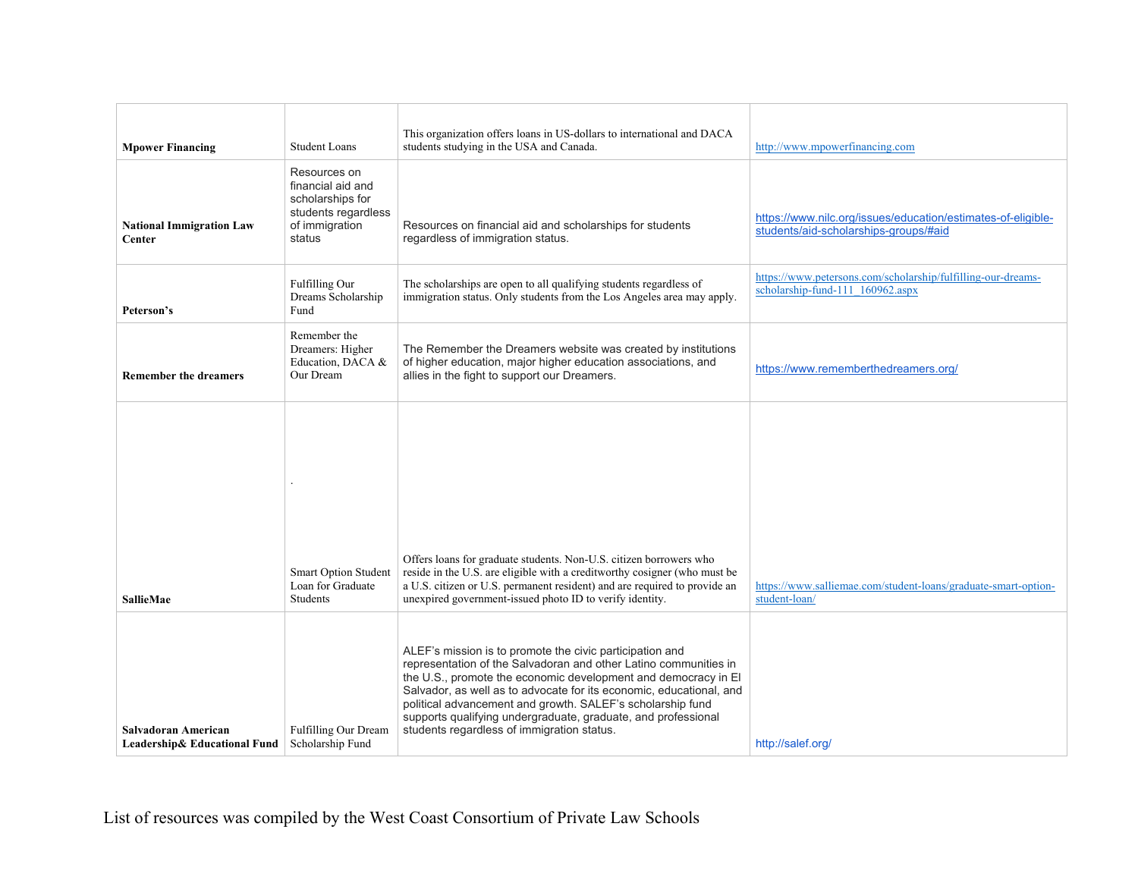| <b>Mpower Financing</b>                             | <b>Student Loans</b>                                                                                     | This organization offers loans in US-dollars to international and DACA<br>students studying in the USA and Canada.                                                                                                                                                                                                                                                                                                                                 | http://www.mpowerfinancing.com                                                                        |
|-----------------------------------------------------|----------------------------------------------------------------------------------------------------------|----------------------------------------------------------------------------------------------------------------------------------------------------------------------------------------------------------------------------------------------------------------------------------------------------------------------------------------------------------------------------------------------------------------------------------------------------|-------------------------------------------------------------------------------------------------------|
| <b>National Immigration Law</b><br>Center           | Resources on<br>financial aid and<br>scholarships for<br>students regardless<br>of immigration<br>status | Resources on financial aid and scholarships for students<br>regardless of immigration status.                                                                                                                                                                                                                                                                                                                                                      | https://www.nilc.org/issues/education/estimates-of-eligible-<br>students/aid-scholarships-groups/#aid |
| Peterson's                                          | Fulfilling Our<br>Dreams Scholarship<br>Fund                                                             | The scholarships are open to all qualifying students regardless of<br>immigration status. Only students from the Los Angeles area may apply.                                                                                                                                                                                                                                                                                                       | https://www.petersons.com/scholarship/fulfilling-our-dreams-<br>scholarship-fund-111 160962.aspx      |
| <b>Remember the dreamers</b>                        | Remember the<br>Dreamers: Higher<br>Education, DACA &<br>Our Dream                                       | The Remember the Dreamers website was created by institutions<br>of higher education, major higher education associations, and<br>allies in the fight to support our Dreamers.                                                                                                                                                                                                                                                                     | https://www.rememberthedreamers.org/                                                                  |
| <b>SallieMae</b>                                    | <b>Smart Option Student</b><br>Loan for Graduate<br>Students                                             | Offers loans for graduate students. Non-U.S. citizen borrowers who<br>reside in the U.S. are eligible with a creditworthy cosigner (who must be<br>a U.S. citizen or U.S. permanent resident) and are required to provide an<br>unexpired government-issued photo ID to verify identity.                                                                                                                                                           | https://www.salliemae.com/student-loans/graduate-smart-option-<br>student-loan/                       |
| Salvadoran American<br>Leadership& Educational Fund | Fulfilling Our Dream<br>Scholarship Fund                                                                 | ALEF's mission is to promote the civic participation and<br>representation of the Salvadoran and other Latino communities in<br>the U.S., promote the economic development and democracy in El<br>Salvador, as well as to advocate for its economic, educational, and<br>political advancement and growth. SALEF's scholarship fund<br>supports qualifying undergraduate, graduate, and professional<br>students regardless of immigration status. | http://salef.org/                                                                                     |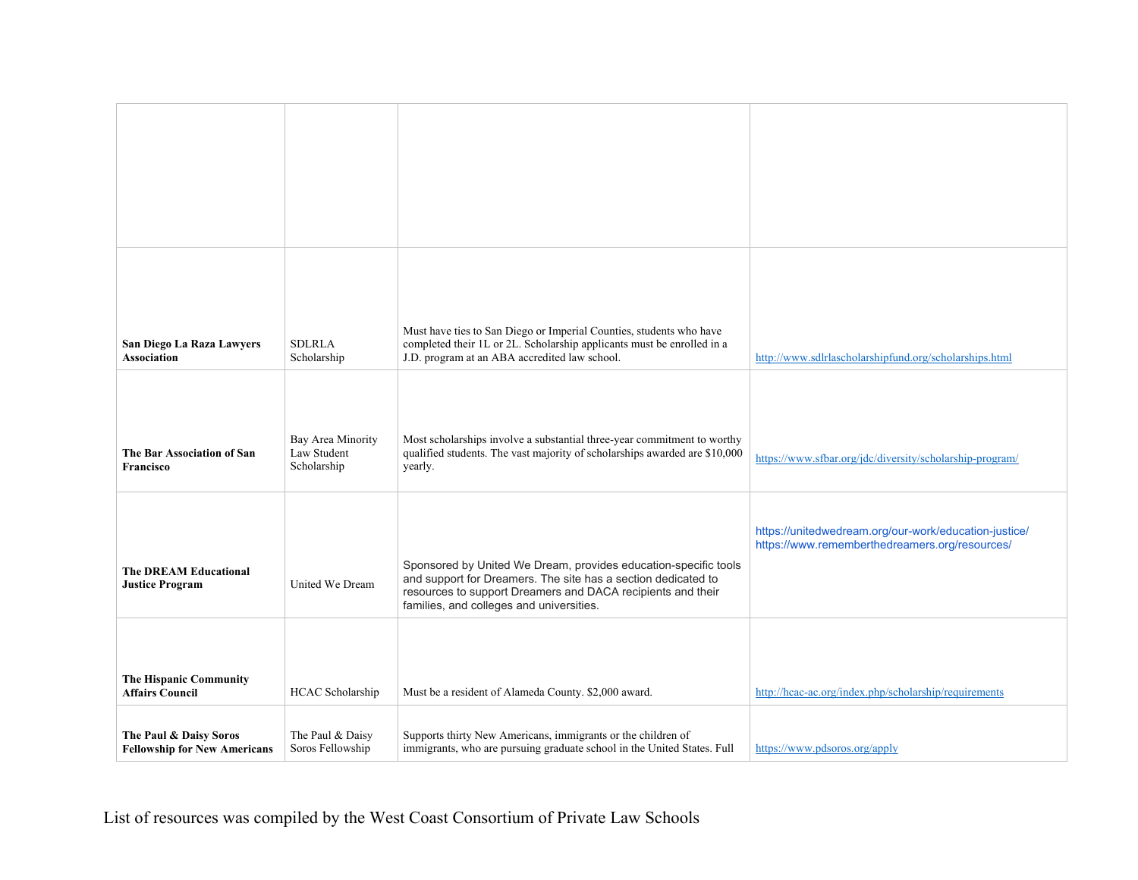| San Diego La Raza Lawyers<br>Association                      | <b>SDLRLA</b><br>Scholarship                    | Must have ties to San Diego or Imperial Counties, students who have<br>completed their 1L or 2L. Scholarship applicants must be enrolled in a<br>J.D. program at an ABA accredited law school. | http://www.sdlrlascholarshipfund.org/scholarships.html                                                  |
|---------------------------------------------------------------|-------------------------------------------------|------------------------------------------------------------------------------------------------------------------------------------------------------------------------------------------------|---------------------------------------------------------------------------------------------------------|
|                                                               |                                                 |                                                                                                                                                                                                |                                                                                                         |
| The Bar Association of San<br><b>Francisco</b>                | Bay Area Minority<br>Law Student<br>Scholarship | Most scholarships involve a substantial three-year commitment to worthy<br>qualified students. The vast majority of scholarships awarded are \$10,000<br>yearly.                               | https://www.sfbar.org/jdc/diversity/scholarship-program/                                                |
| <b>The DREAM Educational</b>                                  |                                                 | Sponsored by United We Dream, provides education-specific tools<br>and support for Dreamers. The site has a section dedicated to                                                               | https://unitedwedream.org/our-work/education-justice/<br>https://www.rememberthedreamers.org/resources/ |
| <b>Justice Program</b>                                        | United We Dream                                 | resources to support Dreamers and DACA recipients and their<br>families, and colleges and universities.                                                                                        |                                                                                                         |
|                                                               |                                                 |                                                                                                                                                                                                |                                                                                                         |
| The Hispanic Community<br><b>Affairs Council</b>              | <b>HCAC</b> Scholarship                         | Must be a resident of Alameda County. \$2,000 award.                                                                                                                                           | http://hcac-ac.org/index.php/scholarship/requirements                                                   |
| The Paul & Daisy Soros<br><b>Fellowship for New Americans</b> | The Paul & Daisy<br>Soros Fellowship            | Supports thirty New Americans, immigrants or the children of<br>immigrants, who are pursuing graduate school in the United States. Full                                                        | https://www.pdsoros.org/apply                                                                           |

List of resources was compiled by the West Coast Consortium of Private Law Schools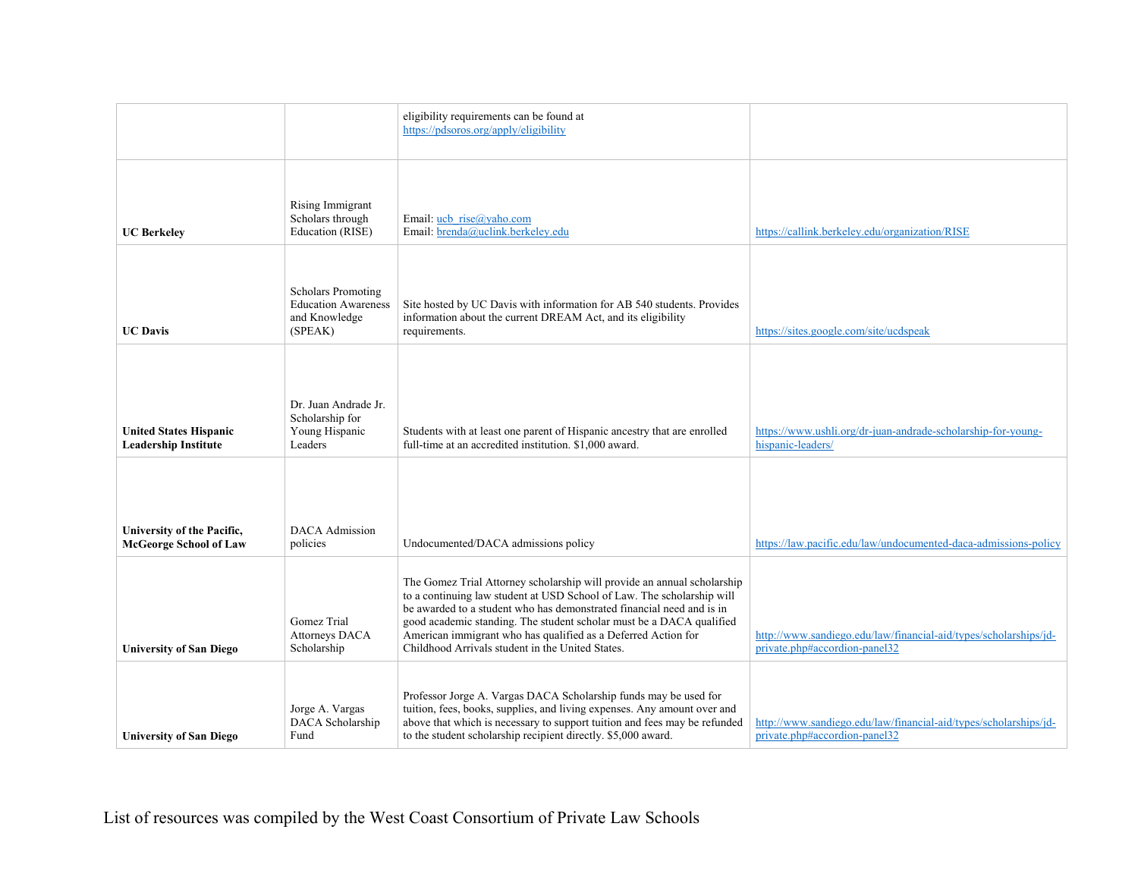|                                                              |                                                                                     | eligibility requirements can be found at<br>https://pdsoros.org/apply/eligibility                                                                                                                                                                                                                                                                                                                                       |                                                                                                   |
|--------------------------------------------------------------|-------------------------------------------------------------------------------------|-------------------------------------------------------------------------------------------------------------------------------------------------------------------------------------------------------------------------------------------------------------------------------------------------------------------------------------------------------------------------------------------------------------------------|---------------------------------------------------------------------------------------------------|
| <b>UC Berkeley</b>                                           | Rising Immigrant<br>Scholars through<br>Education (RISE)                            | Email: ucb rise@yaho.com<br>Email: brenda@uclink.berkeley.edu                                                                                                                                                                                                                                                                                                                                                           | https://callink.berkeley.edu/organization/RISE                                                    |
| <b>UC</b> Davis                                              | <b>Scholars Promoting</b><br><b>Education Awareness</b><br>and Knowledge<br>(SPEAK) | Site hosted by UC Davis with information for AB 540 students. Provides<br>information about the current DREAM Act, and its eligibility<br>requirements.                                                                                                                                                                                                                                                                 | https://sites.google.com/site/ucdspeak                                                            |
| <b>United States Hispanic</b><br><b>Leadership Institute</b> | Dr. Juan Andrade Jr.<br>Scholarship for<br>Young Hispanic<br>Leaders                | Students with at least one parent of Hispanic ancestry that are enrolled<br>full-time at an accredited institution. \$1,000 award.                                                                                                                                                                                                                                                                                      | https://www.ushli.org/dr-juan-andrade-scholarship-for-young-<br>hispanic-leaders/                 |
| University of the Pacific,<br><b>McGeorge School of Law</b>  | <b>DACA</b> Admission<br>policies                                                   | Undocumented/DACA admissions policy                                                                                                                                                                                                                                                                                                                                                                                     | https://law.pacific.edu/law/undocumented-daca-admissions-policy                                   |
| <b>University of San Diego</b>                               | Gomez Trial<br>Attorneys DACA<br>Scholarship                                        | The Gomez Trial Attorney scholarship will provide an annual scholarship<br>to a continuing law student at USD School of Law. The scholarship will<br>be awarded to a student who has demonstrated financial need and is in<br>good academic standing. The student scholar must be a DACA qualified<br>American immigrant who has qualified as a Deferred Action for<br>Childhood Arrivals student in the United States. | http://www.sandiego.edu/law/financial-aid/types/scholarships/jd-<br>private.php#accordion-panel32 |
| <b>University of San Diego</b>                               | Jorge A. Vargas<br>DACA Scholarship<br>Fund                                         | Professor Jorge A. Vargas DACA Scholarship funds may be used for<br>tuition, fees, books, supplies, and living expenses. Any amount over and<br>above that which is necessary to support tuition and fees may be refunded<br>to the student scholarship recipient directly. \$5,000 award.                                                                                                                              | http://www.sandiego.edu/law/financial-aid/types/scholarships/jd-<br>private.php#accordion-panel32 |